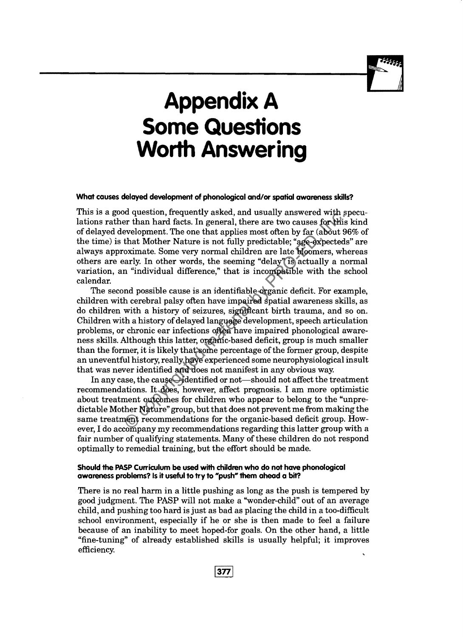

# **Annendix A** Appendix A **Some Questions Worth Answering**

### What causes delayed development of phonological and/or spatial awareness skills?

This is a good question, frequently asked, and usually answered with speculations rather than hard facts. In general, there are two causes for this kind of delayed development. The one that applies most often by far (about 96% of the time) is that Mother Nature is not fully predictable; "age-expecteds" are always approximate. Some very normal children are late bloomers, whereas others are early. In other words, the seeming "delay" is actually a normal variation, an "individual difference," that is incompatible with the school calendar.

The second possible cause is an identifiable organic deficit. For example, children with cerebral palsy often have impaired spatial awareness skills, as do children with a history of seizures, significant birth trauma, and so on. Children with a history of delayed language development, speech articulation problems, or chronic ear infections often have impaired phonological awareness skills. Although this latter, organic-based deficit, group is much smaller than the former, it is likely that some percentage ofthe former group, despite an uneventful history, really have experienced some neurophysiological insult that was never identified and does not manifest in any obvious way. or decision, independent and using the searly and using a search in the samples of the sear than hard facts. In general, there are two causes for his evelopment. The one that applies most often by far (about that Mother Na

In any case, the cause-identified or not-should not affect the treatment recommendations. It does, however, affect prognosis. I am more optimistic about treatment outcomes for children who appear to belong to the "unpredictable Mother Nature" group, but that does not prevent me from making the same treatment recommendations for the organic-based deficit group. However, I do accompany my recommendations regarding this latter group with a fair number of qualifying statements. Many of these children do not respond optimally to remedial training, but the effort should be made.

## Should the PASP Curriculum be used with children who do not have phonological awareness problems? Is it useful to try to "push" them ahead a bit?

There is no real harm in a little pushing as long as the push is tempered by good judgment. The PASP will not make a "wonder-child" out of an average child, and pushing too hard is just as bad as placing the child in a too-difficult school environment, especially if he or she is then made to feel a failure because of an inability to meet hoped-for goals. On the other hand, a little "fine-tuning" of already established skills is usually helpful; it improves efficiency.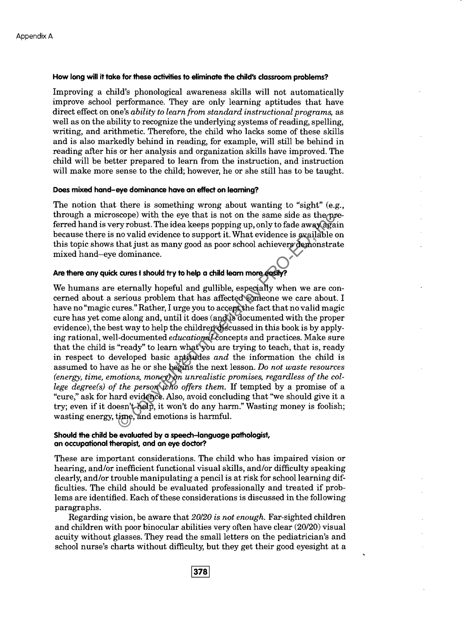## **How long will it take for these activities to eliminate the child's classroom problems?**

Improving a child's phonological awareness skills will not automatically improve school performance. They are only learning aptitudes that have direct effect on one's *ability to learn from standard instructional programs,* as well as on the ability to recognize the underlying systems of reading, spelling, writing, and arithmetic. Therefore, the child who lacks some of these skills and is also markedly behind in reading, for example, will still be behind in reading after his or her analysis and organization skills have improved. The child will be better prepared to learn from the instruction, and instruction will make more sense to the child; however, he or she still has to be taught.

## **Does mixed hand-eye dominance have an effed on learning?**

The notion that there is something wrong about wanting to "sight" (e.g., through a microscope) with the eye that is not on the same side as the preferred hand is very robust. The idea keeps popping up, only to fade away again because there is no valid evidence to support it. What evidence is available on this topic shows that just as many good as poor school achievers demonstrate mixed hand-eye dominance.

# **Are there any quick cures t should try to help a child learn more easily?**

We humans are eternally hopeful and gullible, especially when we are concerned about a serious problem that has affected someone we care about. I have no "magic cures." Rather, I urge you to accept the fact that no valid magic cure has yet come along and, until it does (and is documented with the proper evidence), the best way to help the children discussed in this book is by applying rational, well-documented *educational* concepts and practices. Make sure that the child is "ready" to learn what you are trying to teach, that is, ready in respect to developed basic aptitudes *and* the information the child is assumed to have as he or she begins the next lesson. Do *not waste resources*  (energy, time, emotions, money) on unrealistic promises, regardless of the col*lege degree(s) of the person who offers them.* If tempted by a promise of a "cure," ask for hard evidence. Also, avoid concluding that "we should give it a try; even if it doesn't help, it won't do any harm." Wasting money is foolish; wasting energy, time, and emotions is harmfuL scope) with the eye that is not on the same side as the pry<br>ry robust. The idea keeps popping up, only to fade away again<br>no valid evidence to support it. What evidence is available to<br>that just as many good as poor school

# **Should the child be evaluated by a speech-language pathologist, an occupational therapist, and an eye doctor?**

These are important considerations. The child who has impaired vision or hearing, and/or inefficient functional visual skills, and/or difficulty speaking clearly, and/or trouble manipulating a pencil is at risk for school learning difficulties. The child should be evaluated professionally and treated if problems are identified. Each of these considerations is discussed in the following paragraphs.

Regarding vision, be aware that *20/20 is not enough.* Far-sighted children and children with poor binocular abilities very often have clear (20/20) visual acuity without glasses. They read the small letters on the pediatrician's and school nurse's charts without difficulty, but they get their good eyesight at a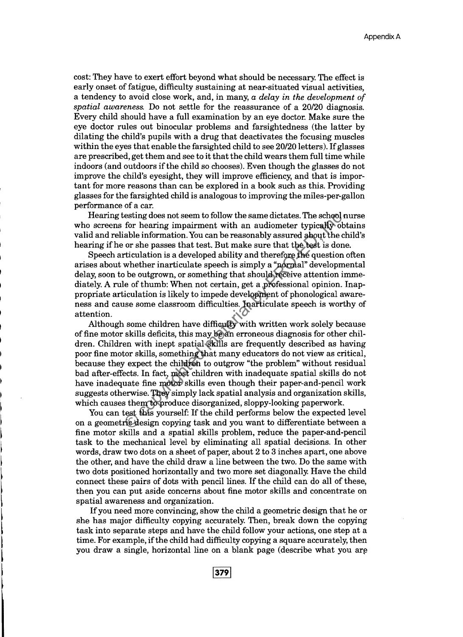cost: They have to exert effort beyond what should be necessary. The effect is early onset of fatigue, difficulty sustaining at near-situated visual activities, a tendency to avoid close work, and, in many, *a delay in the development of spatial awareness.* Do not settle for the reassurance of a *20/20* diagnosis. Every child should have a full examination by an eye doctor. Make sure the eye doctor rules out binocular problems and farsightedness (the latter by dilating the child's pupils with a drug that deactivates the focusing muscles within the eyes that enable the farsighted child to see 20/20 letters). If glasses are prescribed, get them and see to it that the child wears them full time while indoors (and outdoors if the child so chooses). Even though the glasses do not improve the child's eyesight, they will improve efficiency, and that is important for more reasons than can be explored in a book such as this. Providing glasses for the farsighted child is analogous to improving the miles-per-gallon performance of a car.

Hearing testing does not seem to follow the same dictates. The school nurse who screens for hearing impairment with an audiometer typically obtains valid and reliable information. You can be reasonably assured about the child's hearing if he or she passes that test. But make sure that the test is done.

Speech articulation is a developed ability and therefore the question often arises about whether inarticulate speech is simply a "normal" developmental delay, soon to be outgrown, or something that should receive attention immediately. A rule of thumb: When not certain, get a professional opinion. Inappropriate articulation is likely to impede development of phonological awareness and cause some classroom difficulties. Inarticulate speech is worthy of attention.

Although some children have difficulty with written work solely because offine motor skills deficits, this may be an erroneous diagnosis for other children. Children with inept spatial skills are frequently described as having poor fine motor skills, something that many educators do not view as critical, because they expect the children to outgrow "the problem" without residual bad after-effects. In fact, most children with inadequate spatial skills do not have inadequate fine motor skills even though their paper-and-pencil work suggests otherwise. They simply lack spatial analysis and organization skills, which causes them to produce disorganized, sloppy-looking paperwork. esting does not seem to follow the same dictates. The school if for hearing impairment with an audiometer typically of able information. You can be reasonably assured about the complex or she passes that test. But make su

You can test this yourself: If the child performs below the expected level on a geometric design copying task and you want to differentiate between a fine motor skills and a spatial skills problem, reduce the paper-and-pencil task to the mechanical level by eliminating all spatial decisions. In other words, draw two dots on a sheet of paper, about 2 to 3 inches apart, one above the other, and have the child draw a line between the two. Do the same with two dots positioned horizontally and two more set diagonally. Have the child connect these pairs of dots with pencil lines. If the child can do all of these, then you can put aside concerns about fine motor skills and concentrate on spatial awareness and organization.

Ifyou need more convincing, show the child a geometric design that he or she has major difficulty copying accurately. Then, break down the copying task into separate steps and have the child follow your actions, one step at a time. For example, if the child had difficulty copying a square accurately, then you draw a single, horizontal line on a blank page (describe what you are